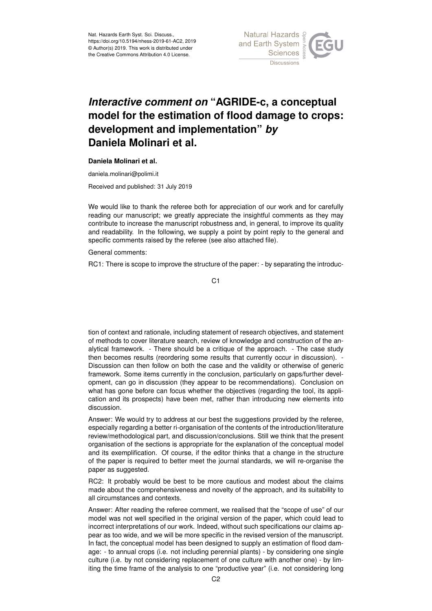

## *Interactive comment on* **"AGRIDE-c, a conceptual model for the estimation of flood damage to crops: development and implementation"** *by* **Daniela Molinari et al.**

## **Daniela Molinari et al.**

daniela.molinari@polimi.it

Received and published: 31 July 2019

We would like to thank the referee both for appreciation of our work and for carefully reading our manuscript; we greatly appreciate the insightful comments as they may contribute to increase the manuscript robustness and, in general, to improve its quality and readability. In the following, we supply a point by point reply to the general and specific comments raised by the referee (see also attached file).

General comments:

RC1: There is scope to improve the structure of the paper: - by separating the introduc-

C1

tion of context and rationale, including statement of research objectives, and statement of methods to cover literature search, review of knowledge and construction of the analytical framework. - There should be a critique of the approach. - The case study then becomes results (reordering some results that currently occur in discussion). - Discussion can then follow on both the case and the validity or otherwise of generic framework. Some items currently in the conclusion, particularly on gaps/further development, can go in discussion (they appear to be recommendations). Conclusion on what has gone before can focus whether the objectives (regarding the tool, its application and its prospects) have been met, rather than introducing new elements into discussion.

Answer: We would try to address at our best the suggestions provided by the referee, especially regarding a better ri-organisation of the contents of the introduction/literature review/methodological part, and discussion/conclusions. Still we think that the present organisation of the sections is appropriate for the explanation of the conceptual model and its exemplification. Of course, if the editor thinks that a change in the structure of the paper is required to better meet the journal standards, we will re-organise the paper as suggested.

RC2: It probably would be best to be more cautious and modest about the claims made about the comprehensiveness and novelty of the approach, and its suitability to all circumstances and contexts.

Answer: After reading the referee comment, we realised that the "scope of use" of our model was not well specified in the original version of the paper, which could lead to incorrect interpretations of our work. Indeed, without such specifications our claims appear as too wide, and we will be more specific in the revised version of the manuscript. In fact, the conceptual model has been designed to supply an estimation of flood damage: - to annual crops (i.e. not including perennial plants) - by considering one single culture (i.e. by not considering replacement of one culture with another one) - by limiting the time frame of the analysis to one "productive year" (i.e. not considering long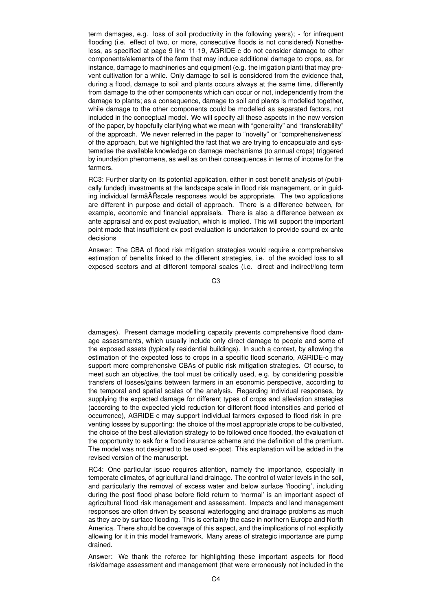term damages, e.g. loss of soil productivity in the following years); - for infrequent flooding (i.e. effect of two, or more, consecutive floods is not considered) Nonetheless, as specified at page 9 line 11-19, AGRIDE-c do not consider damage to other components/elements of the farm that may induce additional damage to crops, as, for instance, damage to machineries and equipment (e.g. the irrigation plant) that may prevent cultivation for a while. Only damage to soil is considered from the evidence that, during a flood, damage to soil and plants occurs always at the same time, differently from damage to the other components which can occur or not, independently from the damage to plants; as a consequence, damage to soil and plants is modelled together, while damage to the other components could be modelled as separated factors, not included in the conceptual model. We will specify all these aspects in the new version of the paper, by hopefully clarifying what we mean with "generality" and "transferability" of the approach. We never referred in the paper to "novelty" or "comprehensiveness" of the approach, but we highlighted the fact that we are trying to encapsulate and systematise the available knowledge on damage mechanisms (to annual crops) triggered by inundation phenomena, as well as on their consequences in terms of income for the farmers.

RC3: Further clarity on its potential application, either in cost benefit analysis of (publically funded) investments at the landscape scale in flood risk management, or in guiding individual farmâĂŘscale responses would be appropriate. The two applications are different in purpose and detail of approach. There is a difference between, for example, economic and financial appraisals. There is also a difference between ex ante appraisal and ex post evaluation, which is implied. This will support the important point made that insufficient ex post evaluation is undertaken to provide sound ex ante decisions

Answer: The CBA of flood risk mitigation strategies would require a comprehensive estimation of benefits linked to the different strategies, i.e. of the avoided loss to all exposed sectors and at different temporal scales (i.e. direct and indirect/long term

C3

damages). Present damage modelling capacity prevents comprehensive flood damage assessments, which usually include only direct damage to people and some of the exposed assets (typically residential buildings). In such a context, by allowing the estimation of the expected loss to crops in a specific flood scenario, AGRIDE-c may support more comprehensive CBAs of public risk mitigation strategies. Of course, to meet such an objective, the tool must be critically used, e.g. by considering possible transfers of losses/gains between farmers in an economic perspective, according to the temporal and spatial scales of the analysis. Regarding individual responses, by supplying the expected damage for different types of crops and alleviation strategies (according to the expected yield reduction for different flood intensities and period of occurrence), AGRIDE-c may support individual farmers exposed to flood risk in preventing losses by supporting: the choice of the most appropriate crops to be cultivated, the choice of the best alleviation strategy to be followed once flooded, the evaluation of the opportunity to ask for a flood insurance scheme and the definition of the premium. The model was not designed to be used ex-post. This explanation will be added in the revised version of the manuscript.

RC4: One particular issue requires attention, namely the importance, especially in temperate climates, of agricultural land drainage. The control of water levels in the soil, and particularly the removal of excess water and below surface 'flooding', including during the post flood phase before field return to 'normal' is an important aspect of agricultural flood risk management and assessment. Impacts and land management responses are often driven by seasonal waterlogging and drainage problems as much as they are by surface flooding. This is certainly the case in northern Europe and North America. There should be coverage of this aspect, and the implications of not explicitly allowing for it in this model framework. Many areas of strategic importance are pump drained.

Answer: We thank the referee for highlighting these important aspects for flood risk/damage assessment and management (that were erroneously not included in the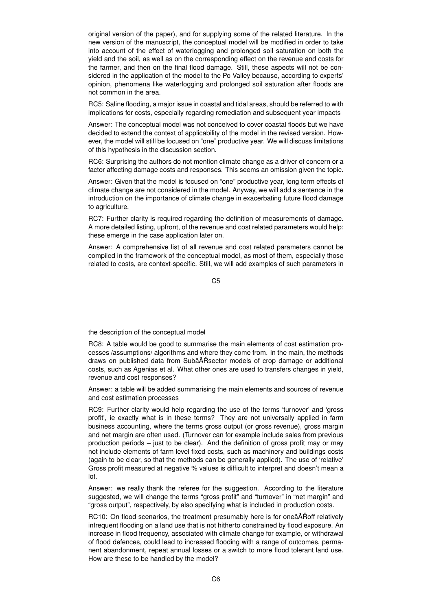original version of the paper), and for supplying some of the related literature. In the new version of the manuscript, the conceptual model will be modified in order to take into account of the effect of waterlogging and prolonged soil saturation on both the yield and the soil, as well as on the corresponding effect on the revenue and costs for the farmer, and then on the final flood damage. Still, these aspects will not be considered in the application of the model to the Po Valley because, according to experts' opinion, phenomena like waterlogging and prolonged soil saturation after floods are not common in the area.

RC5: Saline flooding, a major issue in coastal and tidal areas, should be referred to with implications for costs, especially regarding remediation and subsequent year impacts

Answer: The conceptual model was not conceived to cover coastal floods but we have decided to extend the context of applicability of the model in the revised version. However, the model will still be focused on "one" productive year. We will discuss limitations of this hypothesis in the discussion section.

RC6: Surprising the authors do not mention climate change as a driver of concern or a factor affecting damage costs and responses. This seems an omission given the topic.

Answer: Given that the model is focused on "one" productive year, long term effects of climate change are not considered in the model. Anyway, we will add a sentence in the introduction on the importance of climate change in exacerbating future flood damage to agriculture.

RC7: Further clarity is required regarding the definition of measurements of damage. A more detailed listing, upfront, of the revenue and cost related parameters would help: these emerge in the case application later on.

Answer: A comprehensive list of all revenue and cost related parameters cannot be compiled in the framework of the conceptual model, as most of them, especially those related to costs, are context-specific. Still, we will add examples of such parameters in

C5

the description of the conceptual model

RC8: A table would be good to summarise the main elements of cost estimation processes /assumptions/ algorithms and where they come from. In the main, the methods draws on published data from SubâAT Rsector models of crop damage or additional costs, such as Agenias et al. What other ones are used to transfers changes in yield, revenue and cost responses?

Answer: a table will be added summarising the main elements and sources of revenue and cost estimation processes

RC9: Further clarity would help regarding the use of the terms 'turnover' and 'gross profit', ie exactly what is in these terms? They are not universally applied in farm business accounting, where the terms gross output (or gross revenue), gross margin and net margin are often used. (Turnover can for example include sales from previous production periods – just to be clear). And the definition of gross profit may or may not include elements of farm level fixed costs, such as machinery and buildings costs (again to be clear, so that the methods can be generally applied). The use of 'relative' Gross profit measured at negative % values is difficult to interpret and doesn't mean a lot.

Answer: we really thank the referee for the suggestion. According to the literature suggested, we will change the terms "gross profit" and "turnover" in "net margin" and "gross output", respectively, by also specifying what is included in production costs.

RC10: On flood scenarios, the treatment presumably here is for oneâATN relatively infrequent flooding on a land use that is not hitherto constrained by flood exposure. An increase in flood frequency, associated with climate change for example, or withdrawal of flood defences, could lead to increased flooding with a range of outcomes, permanent abandonment, repeat annual losses or a switch to more flood tolerant land use. How are these to be handled by the model?